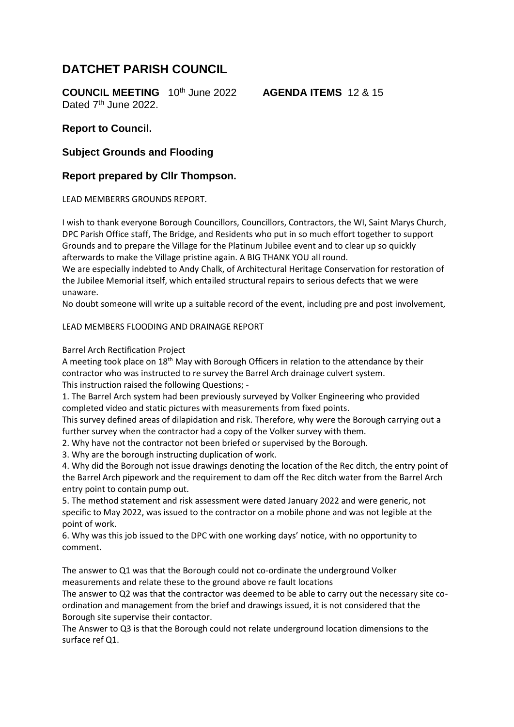# **DATCHET PARISH COUNCIL**

**COUNCIL MEETING** 10th June 2022 **AGENDA ITEMS** 12 & 15 Dated 7<sup>th</sup> June 2022.

#### **Report to Council.**

### **Subject Grounds and Flooding**

## **Report prepared by Cllr Thompson.**

LEAD MEMBERRS GROUNDS REPORT.

I wish to thank everyone Borough Councillors, Councillors, Contractors, the WI, Saint Marys Church, DPC Parish Office staff, The Bridge, and Residents who put in so much effort together to support Grounds and to prepare the Village for the Platinum Jubilee event and to clear up so quickly afterwards to make the Village pristine again. A BIG THANK YOU all round.

We are especially indebted to Andy Chalk, of Architectural Heritage Conservation for restoration of the Jubilee Memorial itself, which entailed structural repairs to serious defects that we were unaware.

No doubt someone will write up a suitable record of the event, including pre and post involvement,

#### LEAD MEMBERS FLOODING AND DRAINAGE REPORT

Barrel Arch Rectification Project

A meeting took place on  $18<sup>th</sup>$  May with Borough Officers in relation to the attendance by their contractor who was instructed to re survey the Barrel Arch drainage culvert system.

This instruction raised the following Questions; -

1. The Barrel Arch system had been previously surveyed by Volker Engineering who provided completed video and static pictures with measurements from fixed points.

This survey defined areas of dilapidation and risk. Therefore, why were the Borough carrying out a further survey when the contractor had a copy of the Volker survey with them.

2. Why have not the contractor not been briefed or supervised by the Borough.

3. Why are the borough instructing duplication of work.

4. Why did the Borough not issue drawings denoting the location of the Rec ditch, the entry point of the Barrel Arch pipework and the requirement to dam off the Rec ditch water from the Barrel Arch entry point to contain pump out.

5. The method statement and risk assessment were dated January 2022 and were generic, not specific to May 2022, was issued to the contractor on a mobile phone and was not legible at the point of work.

6. Why was this job issued to the DPC with one working days' notice, with no opportunity to comment.

The answer to Q1 was that the Borough could not co-ordinate the underground Volker measurements and relate these to the ground above re fault locations

The answer to Q2 was that the contractor was deemed to be able to carry out the necessary site coordination and management from the brief and drawings issued, it is not considered that the Borough site supervise their contactor.

The Answer to Q3 is that the Borough could not relate underground location dimensions to the surface ref Q1.